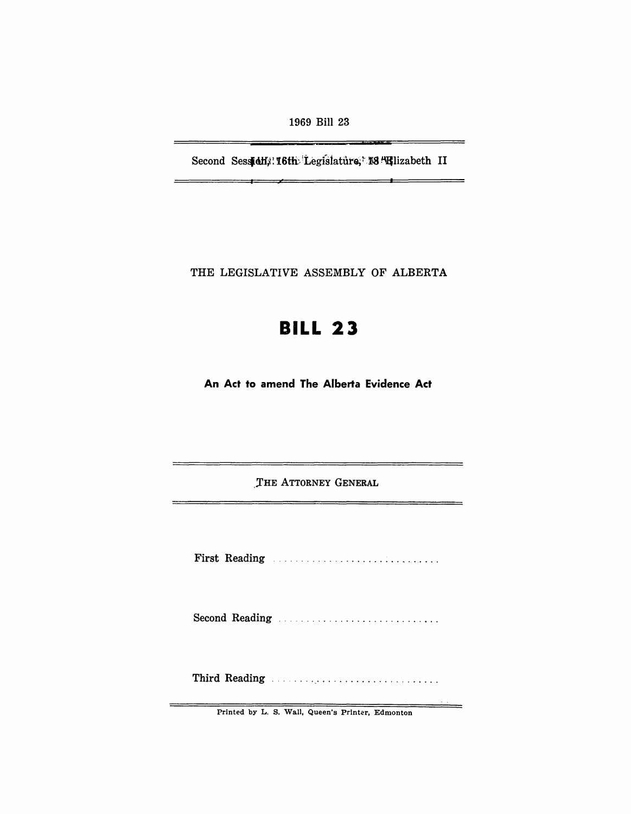1969 Bill 23

---

Second Sessidi, 16th Legislature, 13 Hilzabeth II

÷

THE LEGISLATIVE ASSEMBLY OF ALBERTA

## **BILL 23**

An Act to amend The Alberta Evidence Act

THE ATTORNEY GENERAL

<u> 2000 - Jan Jan Jan Jan Jan Jan</u>

First Reading Manual Communications of the Reading

Second Reading .................................

Third Reading ..................................

Printed by L. S. Wall, Queen's Printer, Edmonton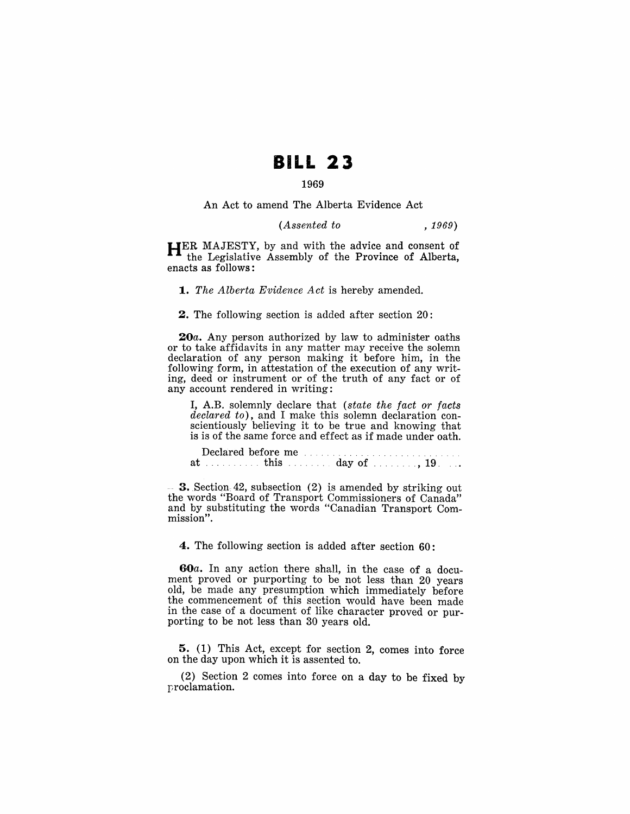## **BILL 23**

## 1969

An Act to amend The Alberta Evidence Act

## *(Assented to* , 1969)

HER MAJESTY, by and with the advice and consent of the Legislative Assembly of the Province of Alberta, enacts as follows:

*1. The Alberta Evidence Act* is hereby amended.

2. The following section is added after section 20:

20a. Any person authorized by law to administer oaths or to take affidavits in any matter may receive the solemn declaration of any person making it before him, in the following form, in attestation of the execution of any writing, deed or instrument or of the truth of any fact or of any account rendered in writing:

I, A.B. solemnly declare that *(state the fact or facts declared to),* and I make this solemn declaration conscientiously believing it to be true and knowing that is is of the same force and effect as if made under oath.

|  | Declared before me |  |  |
|--|--------------------|--|--|
|  |                    |  |  |

**3.** Section 42, subsection  $(2)$  is amended by striking out the words "Board of Transport Commissioners of Canada" and by substituting the words "Canadian Transport Commission".

4. The following section is added after section 60:

60a. In any action there shall, in the case of a document proved or purporting to be not less than 20 years old, be made any presumption which immediately before the commencement of this section would have been made in the case of a document of like character proved or purporting to be not less than 30 years old.

5. (1) This Act, except for section 2, comes into force on the day upon which it is assented to.

(2) Section 2 comes into force on a day to be fixed by proclamation.